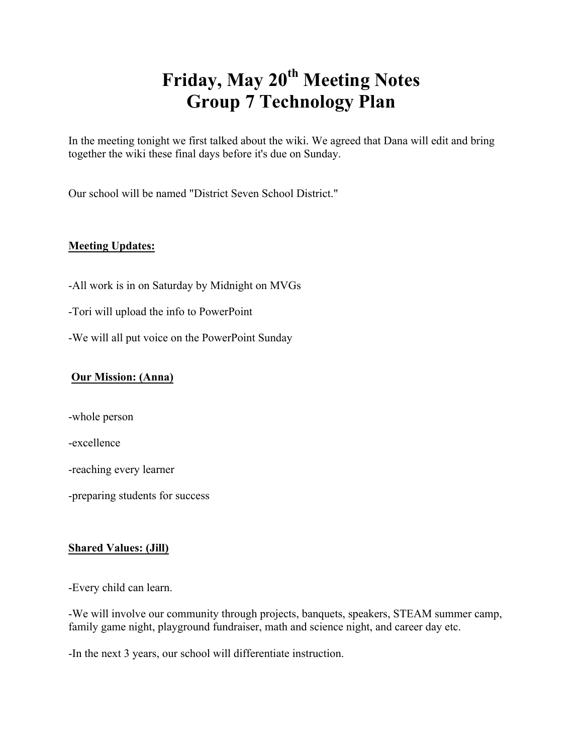# **Friday, May 20th Meeting Notes Group 7 Technology Plan**

In the meeting tonight we first talked about the wiki. We agreed that Dana will edit and bring together the wiki these final days before it's due on Sunday.

Our school will be named "District Seven School District."

## **Meeting Updates:**

- -All work is in on Saturday by Midnight on MVGs
- -Tori will upload the info to PowerPoint
- -We will all put voice on the PowerPoint Sunday

### **Our Mission: (Anna)**

-whole person

-excellence

-reaching every learner

-preparing students for success

#### **Shared Values: (Jill)**

-Every child can learn.

-We will involve our community through projects, banquets, speakers, STEAM summer camp, family game night, playground fundraiser, math and science night, and career day etc.

-In the next 3 years, our school will differentiate instruction.